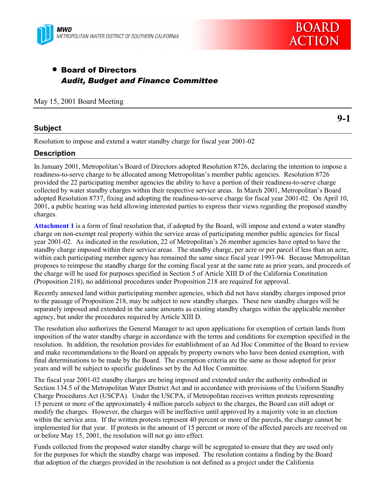

# • Board of Directors *Audit, Budget and Finance Committee*

May 15, 2001 Board Meeting

### **Subject**

Resolution to impose and extend a water standby charge for fiscal year 2001-02

### **Description**

In January 2001, Metropolitanís Board of Directors adopted Resolution 8726, declaring the intention to impose a readiness-to-serve charge to be allocated among Metropolitan's member public agencies. Resolution 8726 provided the 22 participating member agencies the ability to have a portion of their readiness-to-serve charge collected by water standby charges within their respective service areas. In March 2001, Metropolitanís Board adopted Resolution 8737, fixing and adopting the readiness-to-serve charge for fiscal year 2001-02. On April 10, 2001, a public hearing was held allowing interested parties to express their views regarding the proposed standby charges.

**Attachment 1** is a form of final resolution that, if adopted by the Board, will impose and extend a water standby charge on non-exempt real property within the service areas of participating member public agencies for fiscal year 2001-02. As indicated in the resolution, 22 of Metropolitanís 26 member agencies have opted to have the standby charge imposed within their service areas. The standby charge, per acre or per parcel if less than an acre, within each participating member agency has remained the same since fiscal year 1993-94. Because Metropolitan proposes to reimpose the standby charge for the coming fiscal year at the same rate as prior years, and proceeds of the charge will be used for purposes specified in Section 5 of Article XIII D of the California Constitution (Proposition 218), no additional procedures under Proposition 218 are required for approval.

Recently annexed land within participating member agencies, which did not have standby charges imposed prior to the passage of Proposition 218, may be subject to new standby charges. These new standby charges will be separately imposed and extended in the same amounts as existing standby charges within the applicable member agency, but under the procedures required by Article XIII D.

The resolution also authorizes the General Manager to act upon applications for exemption of certain lands from imposition of the water standby charge in accordance with the terms and conditions for exemption specified in the resolution. In addition, the resolution provides for establishment of an Ad Hoc Committee of the Board to review and make recommendations to the Board on appeals by property owners who have been denied exemption, with final determinations to be made by the Board. The exemption criteria are the same as those adopted for prior years and will be subject to specific guidelines set by the Ad Hoc Committee.

The fiscal year 2001-02 standby charges are being imposed and extended under the authority embodied in Section 134.5 of the Metropolitan Water District Act and in accordance with provisions of the Uniform Standby Charge Procedures Act (USCPA). Under the USCPA, if Metropolitan receives written protests representing 15 percent or more of the approximately 4 million parcels subject to the charges, the Board can still adopt or modify the charges. However, the charges will be ineffective until approved by a majority vote in an election within the service area. If the written protests represent 40 percent or more of the parcels, the charge cannot be implemented for that year. If protests in the amount of 15 percent or more of the affected parcels are received on or before May 15, 2001, the resolution will not go into effect.

Funds collected from the proposed water standby charge will be segregated to ensure that they are used only for the purposes for which the standby charge was imposed. The resolution contains a finding by the Board that adoption of the charges provided in the resolution is not defined as a project under the California

**9-1**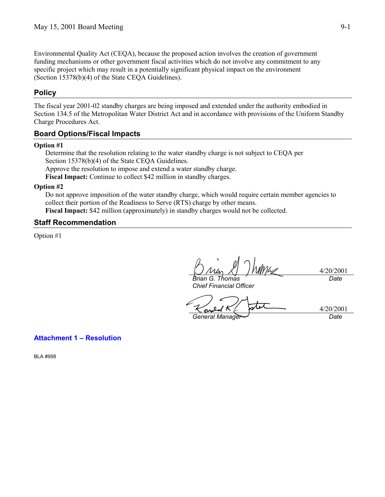Environmental Quality Act (CEQA), because the proposed action involves the creation of government funding mechanisms or other government fiscal activities which do not involve any commitment to any specific project which may result in a potentially significant physical impact on the environment (Section 15378(b)(4) of the State CEQA Guidelines).

## **Policy**

The fiscal year 2001-02 standby charges are being imposed and extended under the authority embodied in Section 134.5 of the Metropolitan Water District Act and in accordance with provisions of the Uniform Standby Charge Procedures Act.

### **Board Options/Fiscal Impacts**

#### **Option #1**

Determine that the resolution relating to the water standby charge is not subject to CEQA per Section 15378(b)(4) of the State CEQA Guidelines. Approve the resolution to impose and extend a water standby charge. **Fiscal Impact:** Continue to collect \$42 million in standby charges.

#### **Option #2**

Do not approve imposition of the water standby charge, which would require certain member agencies to collect their portion of the Readiness to Serve (RTS) charge by other means.

**Fiscal Impact:** \$42 million (approximately) in standby charges would not be collected.

### **Staff Recommendation**

Option #1

4/20/2001 *Brian G. Thomas Date*

*Chief Financial Officer*

*General Manager Date*

#### **Attachment 1 - Resolution**

BLA #958

4/20/2001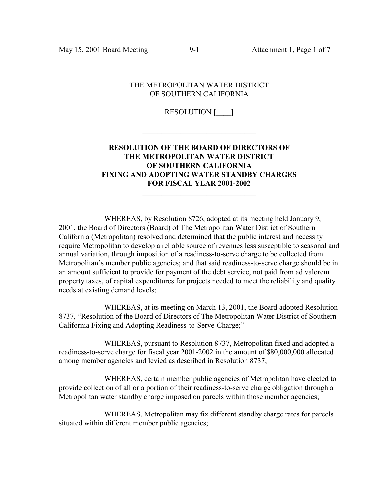May 15, 2001 Board Meeting 9-1 Attachment 1, Page 1 of 7

#### THE METROPOLITAN WATER DISTRICT OF SOUTHERN CALIFORNIA

### RESOLUTION **[\_\_\_\_]**

 $\mathcal{L}_\text{max}$ 

### **RESOLUTION OF THE BOARD OF DIRECTORS OF THE METROPOLITAN WATER DISTRICT OF SOUTHERN CALIFORNIA FIXING AND ADOPTING WATER STANDBY CHARGES FOR FISCAL YEAR 2001-2002**  $\mathcal{L}_\text{max}$  , and the set of the set of the set of the set of the set of the set of the set of the set of the set of the set of the set of the set of the set of the set of the set of the set of the set of the set of the

WHEREAS, by Resolution 8726, adopted at its meeting held January 9, 2001, the Board of Directors (Board) of The Metropolitan Water District of Southern California (Metropolitan) resolved and determined that the public interest and necessity require Metropolitan to develop a reliable source of revenues less susceptible to seasonal and annual variation, through imposition of a readiness-to-serve charge to be collected from Metropolitan's member public agencies; and that said readiness-to-serve charge should be in an amount sufficient to provide for payment of the debt service, not paid from ad valorem property taxes, of capital expenditures for projects needed to meet the reliability and quality needs at existing demand levels;

WHEREAS, at its meeting on March 13, 2001, the Board adopted Resolution 8737, "Resolution of the Board of Directors of The Metropolitan Water District of Southern California Fixing and Adopting Readiness-to-Serve-Charge;"

WHEREAS, pursuant to Resolution 8737, Metropolitan fixed and adopted a readiness-to-serve charge for fiscal year 2001-2002 in the amount of \$80,000,000 allocated among member agencies and levied as described in Resolution 8737;

WHEREAS, certain member public agencies of Metropolitan have elected to provide collection of all or a portion of their readiness-to-serve charge obligation through a Metropolitan water standby charge imposed on parcels within those member agencies;

WHEREAS, Metropolitan may fix different standby charge rates for parcels situated within different member public agencies;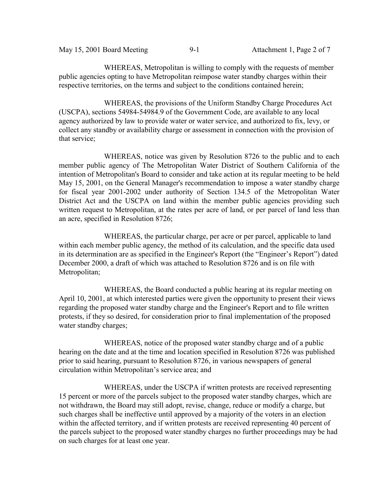| May 15, 2001 Board Meeting | $9 - 1$ | Attachment 1, Page 2 of 7 |
|----------------------------|---------|---------------------------|
|                            |         |                           |

WHEREAS, Metropolitan is willing to comply with the requests of member public agencies opting to have Metropolitan reimpose water standby charges within their respective territories, on the terms and subject to the conditions contained herein;

WHEREAS, the provisions of the Uniform Standby Charge Procedures Act (USCPA), sections 54984-54984.9 of the Government Code, are available to any local agency authorized by law to provide water or water service, and authorized to fix, levy, or collect any standby or availability charge or assessment in connection with the provision of that service;

WHEREAS, notice was given by Resolution 8726 to the public and to each member public agency of The Metropolitan Water District of Southern California of the intention of Metropolitan's Board to consider and take action at its regular meeting to be held May 15, 2001, on the General Manager's recommendation to impose a water standby charge for fiscal year 2001-2002 under authority of Section 134.5 of the Metropolitan Water District Act and the USCPA on land within the member public agencies providing such written request to Metropolitan, at the rates per acre of land, or per parcel of land less than an acre, specified in Resolution 8726;

WHEREAS, the particular charge, per acre or per parcel, applicable to land within each member public agency, the method of its calculation, and the specific data used in its determination are as specified in the Engineer's Report (the "Engineer's Report") dated December 2000, a draft of which was attached to Resolution 8726 and is on file with Metropolitan;

WHEREAS, the Board conducted a public hearing at its regular meeting on April 10, 2001, at which interested parties were given the opportunity to present their views regarding the proposed water standby charge and the Engineer's Report and to file written protests, if they so desired, for consideration prior to final implementation of the proposed water standby charges;

WHEREAS, notice of the proposed water standby charge and of a public hearing on the date and at the time and location specified in Resolution 8726 was published prior to said hearing, pursuant to Resolution 8726, in various newspapers of general circulation within Metropolitan's service area; and

WHEREAS, under the USCPA if written protests are received representing 15 percent or more of the parcels subject to the proposed water standby charges, which are not withdrawn, the Board may still adopt, revise, change, reduce or modify a charge, but such charges shall be ineffective until approved by a majority of the voters in an election within the affected territory, and if written protests are received representing 40 percent of the parcels subject to the proposed water standby charges no further proceedings may be had on such charges for at least one year.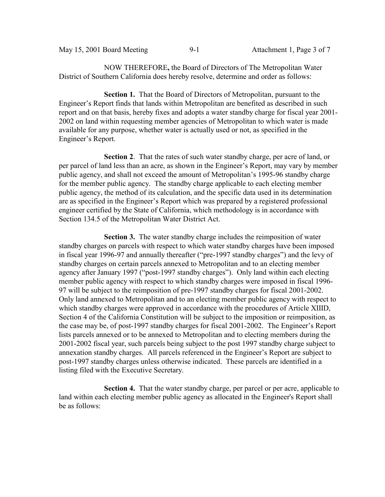|  | May 15, 2001 Board Meeting | $9-1$ | Attachment 1, Page 3 of 7 |
|--|----------------------------|-------|---------------------------|
|--|----------------------------|-------|---------------------------|

NOW THEREFORE**,** the Board of Directors of The Metropolitan Water District of Southern California does hereby resolve, determine and order as follows:

**Section 1.** That the Board of Directors of Metropolitan, pursuant to the Engineer's Report finds that lands within Metropolitan are benefited as described in such report and on that basis, hereby fixes and adopts a water standby charge for fiscal year 2001- 2002 on land within requesting member agencies of Metropolitan to which water is made available for any purpose, whether water is actually used or not, as specified in the Engineer's Report.

**Section 2**. That the rates of such water standby charge, per acre of land, or per parcel of land less than an acre, as shown in the Engineer's Report, may vary by member public agency, and shall not exceed the amount of Metropolitan's 1995-96 standby charge for the member public agency. The standby charge applicable to each electing member public agency, the method of its calculation, and the specific data used in its determination are as specified in the Engineer's Report which was prepared by a registered professional engineer certified by the State of California, which methodology is in accordance with Section 134.5 of the Metropolitan Water District Act.

**Section 3.** The water standby charge includes the reimposition of water standby charges on parcels with respect to which water standby charges have been imposed in fiscal year 1996-97 and annually thereafter ("pre-1997 standby charges") and the levy of standby charges on certain parcels annexed to Metropolitan and to an electing member agency after January 1997 ("post-1997 standby charges"). Only land within each electing member public agency with respect to which standby charges were imposed in fiscal 1996- 97 will be subject to the reimposition of pre-1997 standby charges for fiscal 2001-2002. Only land annexed to Metropolitan and to an electing member public agency with respect to which standby charges were approved in accordance with the procedures of Article XIIID, Section 4 of the California Constitution will be subject to the imposition or reimposition, as the case may be, of post-1997 standby charges for fiscal 2001-2002. The Engineer's Report lists parcels annexed or to be annexed to Metropolitan and to electing members during the 2001-2002 fiscal year, such parcels being subject to the post 1997 standby charge subject to annexation standby charges. All parcels referenced in the Engineer's Report are subject to post-1997 standby charges unless otherwise indicated. These parcels are identified in a listing filed with the Executive Secretary.

**Section 4.** That the water standby charge, per parcel or per acre, applicable to land within each electing member public agency as allocated in the Engineer's Report shall be as follows: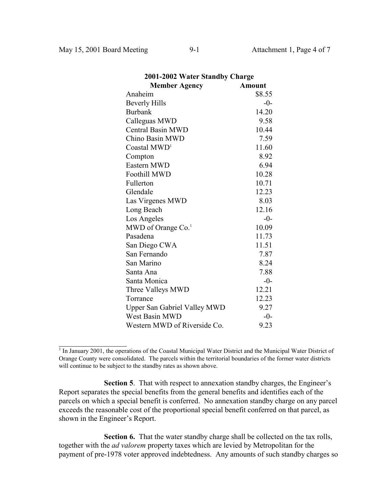$\overline{a}$ 

| 2001-2002 Water Standby Charge      |               |  |
|-------------------------------------|---------------|--|
| <b>Member Agency</b>                | <b>Amount</b> |  |
| Anaheim                             | \$8.55        |  |
| <b>Beverly Hills</b>                | $-0-$         |  |
| <b>Burbank</b>                      | 14.20         |  |
| Calleguas MWD                       | 9.58          |  |
| <b>Central Basin MWD</b>            | 10.44         |  |
| Chino Basin MWD                     | 7.59          |  |
| Coastal MWD <sup>1</sup>            | 11.60         |  |
| Compton                             | 8.92          |  |
| Eastern MWD                         | 6.94          |  |
| <b>Foothill MWD</b>                 | 10.28         |  |
| Fullerton                           | 10.71         |  |
| Glendale                            | 12.23         |  |
| Las Virgenes MWD                    | 8.03          |  |
| Long Beach                          | 12.16         |  |
| Los Angeles                         | $-0-$         |  |
| MWD of Orange Co. <sup>1</sup>      | 10.09         |  |
| Pasadena                            | 11.73         |  |
| San Diego CWA                       | 11.51         |  |
| San Fernando                        | 7.87          |  |
| San Marino                          | 8.24          |  |
| Santa Ana                           | 7.88          |  |
| Santa Monica                        | $-0-$         |  |
| Three Valleys MWD                   | 12.21         |  |
| Torrance                            | 12.23         |  |
| <b>Upper San Gabriel Valley MWD</b> | 9.27          |  |
| West Basin MWD                      | $-0-$         |  |
| Western MWD of Riverside Co.        | 9.23          |  |

<sup>&</sup>lt;sup>1</sup> In January 2001, the operations of the Coastal Municipal Water District and the Municipal Water District of Orange County were consolidated. The parcels within the territorial boundaries of the former water districts will continue to be subject to the standby rates as shown above.

**Section 5**. That with respect to annexation standby charges, the Engineer's Report separates the special benefits from the general benefits and identifies each of the parcels on which a special benefit is conferred. No annexation standby charge on any parcel exceeds the reasonable cost of the proportional special benefit conferred on that parcel, as shown in the Engineer's Report.

**Section 6.** That the water standby charge shall be collected on the tax rolls, together with the *ad valorem* property taxes which are levied by Metropolitan for the payment of pre-1978 voter approved indebtedness. Any amounts of such standby charges so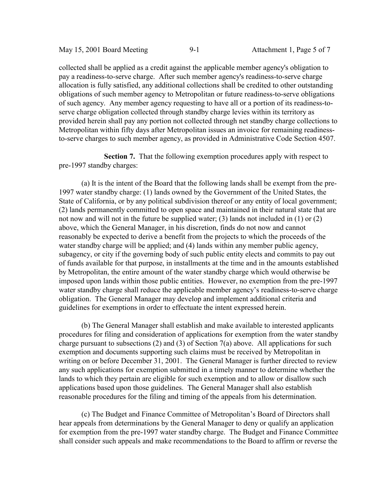collected shall be applied as a credit against the applicable member agency's obligation to pay a readiness-to-serve charge. After such member agency's readiness-to-serve charge allocation is fully satisfied, any additional collections shall be credited to other outstanding obligations of such member agency to Metropolitan or future readiness-to-serve obligations of such agency. Any member agency requesting to have all or a portion of its readiness-toserve charge obligation collected through standby charge levies within its territory as provided herein shall pay any portion not collected through net standby charge collections to Metropolitan within fifty days after Metropolitan issues an invoice for remaining readinessto-serve charges to such member agency, as provided in Administrative Code Section 4507.

**Section 7.** That the following exemption procedures apply with respect to pre-1997 standby charges:

(a) It is the intent of the Board that the following lands shall be exempt from the pre-1997 water standby charge: (1) lands owned by the Government of the United States, the State of California, or by any political subdivision thereof or any entity of local government; (2) lands permanently committed to open space and maintained in their natural state that are not now and will not in the future be supplied water; (3) lands not included in (1) or (2) above, which the General Manager, in his discretion, finds do not now and cannot reasonably be expected to derive a benefit from the projects to which the proceeds of the water standby charge will be applied; and (4) lands within any member public agency, subagency, or city if the governing body of such public entity elects and commits to pay out of funds available for that purpose, in installments at the time and in the amounts established by Metropolitan, the entire amount of the water standby charge which would otherwise be imposed upon lands within those public entities. However, no exemption from the pre-1997 water standby charge shall reduce the applicable member agency's readiness-to-serve charge obligation. The General Manager may develop and implement additional criteria and guidelines for exemptions in order to effectuate the intent expressed herein.

(b) The General Manager shall establish and make available to interested applicants procedures for filing and consideration of applications for exemption from the water standby charge pursuant to subsections (2) and (3) of Section 7(a) above. All applications for such exemption and documents supporting such claims must be received by Metropolitan in writing on or before December 31, 2001. The General Manager is further directed to review any such applications for exemption submitted in a timely manner to determine whether the lands to which they pertain are eligible for such exemption and to allow or disallow such applications based upon those guidelines. The General Manager shall also establish reasonable procedures for the filing and timing of the appeals from his determination.

(c) The Budget and Finance Committee of Metropolitan's Board of Directors shall hear appeals from determinations by the General Manager to deny or qualify an application for exemption from the pre-1997 water standby charge. The Budget and Finance Committee shall consider such appeals and make recommendations to the Board to affirm or reverse the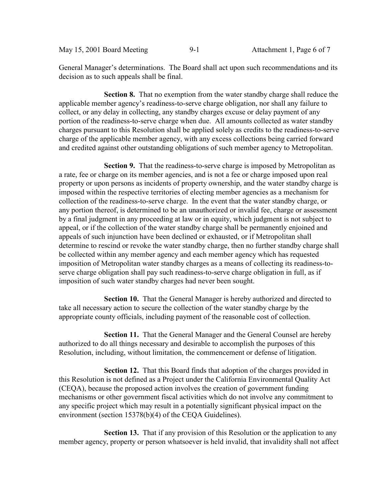May 15, 2001 Board Meeting 9-1 Attachment 1, Page 6 of 7

General Manager's determinations. The Board shall act upon such recommendations and its decision as to such appeals shall be final.

**Section 8.** That no exemption from the water standby charge shall reduce the applicable member agency's readiness-to-serve charge obligation, nor shall any failure to collect, or any delay in collecting, any standby charges excuse or delay payment of any portion of the readiness-to-serve charge when due. All amounts collected as water standby charges pursuant to this Resolution shall be applied solely as credits to the readiness-to-serve charge of the applicable member agency, with any excess collections being carried forward and credited against other outstanding obligations of such member agency to Metropolitan.

**Section 9.** That the readiness-to-serve charge is imposed by Metropolitan as a rate, fee or charge on its member agencies, and is not a fee or charge imposed upon real property or upon persons as incidents of property ownership, and the water standby charge is imposed within the respective territories of electing member agencies as a mechanism for collection of the readiness-to-serve charge. In the event that the water standby charge, or any portion thereof, is determined to be an unauthorized or invalid fee, charge or assessment by a final judgment in any proceeding at law or in equity, which judgment is not subject to appeal, or if the collection of the water standby charge shall be permanently enjoined and appeals of such injunction have been declined or exhausted, or if Metropolitan shall determine to rescind or revoke the water standby charge, then no further standby charge shall be collected within any member agency and each member agency which has requested imposition of Metropolitan water standby charges as a means of collecting its readiness-toserve charge obligation shall pay such readiness-to-serve charge obligation in full, as if imposition of such water standby charges had never been sought.

**Section 10.** That the General Manager is hereby authorized and directed to take all necessary action to secure the collection of the water standby charge by the appropriate county officials, including payment of the reasonable cost of collection.

**Section 11.** That the General Manager and the General Counsel are hereby authorized to do all things necessary and desirable to accomplish the purposes of this Resolution, including, without limitation, the commencement or defense of litigation.

**Section 12.** That this Board finds that adoption of the charges provided in this Resolution is not defined as a Project under the California Environmental Quality Act (CEQA), because the proposed action involves the creation of government funding mechanisms or other government fiscal activities which do not involve any commitment to any specific project which may result in a potentially significant physical impact on the environment (section 15378(b)(4) of the CEQA Guidelines).

**Section 13.** That if any provision of this Resolution or the application to any member agency, property or person whatsoever is held invalid, that invalidity shall not affect